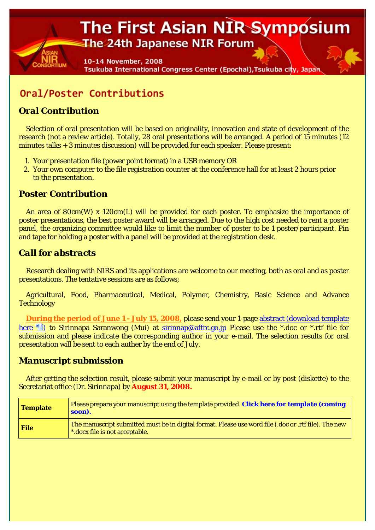# The First Asian NIR Symposium The 24th Japanese NIR Forum

10-14 November, 2008 Tsukuba International Congress Center (Epochal), Tsukuba city, Japan

## Oral/Poster Contributions

### *Oral Contribution*

Selection of oral presentation will be based on originality, innovation and state of development of the research (not a review article). Totally, 28 oral presentations will be arranged. A period of 15 minutes (12 minutes talks + 3 minutes discussion) will be provided for each speaker. Please present:

- 1. Your presentation file (power point format) in a USB memory OR
- 2. Your own computer to the file registration counter at the conference hall for at least 2 hours prior to the presentation.

#### *Poster Contribution*

An area of 80cm(W) x 120cm(L) will be provided for each poster. To emphasize the importance of poster presentations, the best poster award will be arranged. Due to the high cost needed to rent a poster panel, the organizing committee would like to limit the number of poster to be 1 poster/participant. Pin and tape for holding a poster with a panel will be provided at the registration desk.

#### *Call for abstracts*

Research dealing with NIRS and its applications are welcome to our meeting, both as oral and as poster presentations. The tentative sessions are as follows;

Agricultural, Food, Pharmaceutical, Medical, Polymer, Chemistry, Basic Science and Advance **Technology** 

**During the period of June 1 - July 15, 2008,** please send your 1-page abstract (download template here **the Simult of Sirinnapa Saranwong (Mui) at sirinnap**@affrc.go.jp Please use the \*.doc or \*.rtf file for submission and please indicate the corresponding author in your e-mail. The selection results for oral presentation will be sent to each auther by the end of July.

#### *Manuscript submission*

After getting the selection result, please submit your manuscript by e-mail or by post (diskette) to the Secretariat office (Dr. Sirinnapa) by **August 31, 2008.**

| <b>Template</b> | Please prepare your manuscript using the template provided. Click here for template (coming<br>soon).                                        |
|-----------------|----------------------------------------------------------------------------------------------------------------------------------------------|
| <b>File</b>     | The manuscript submitted must be in digital format. Please use word file (.doc or .rtf file). The new $\,$<br>*.docx file is not acceptable. |